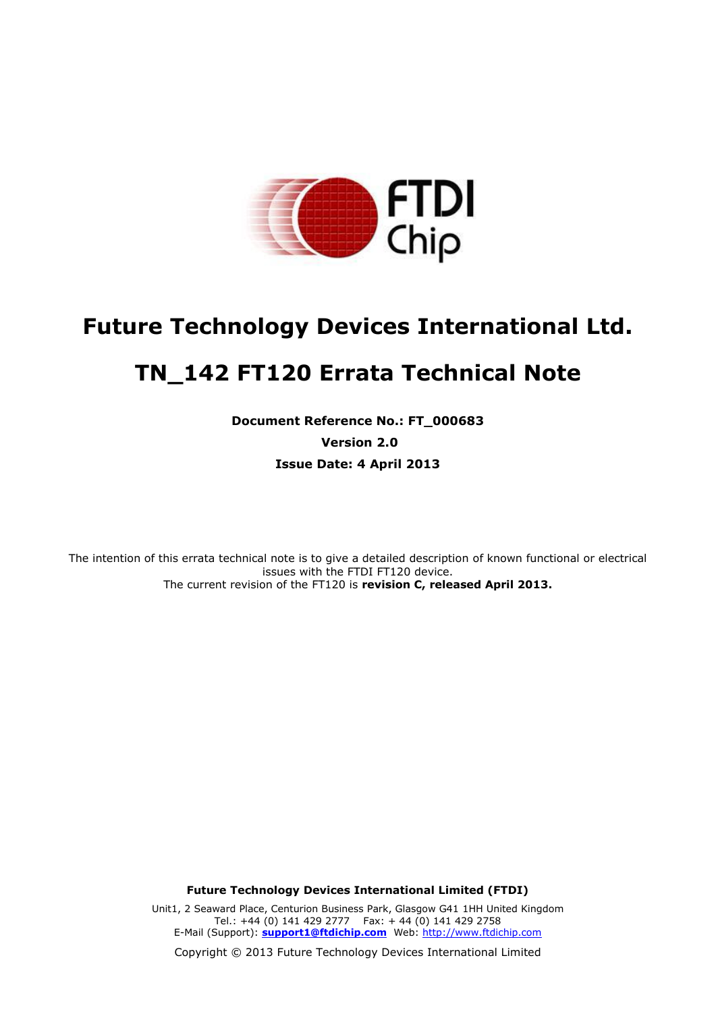

# **Future Technology Devices International Ltd. TN\_142 FT120 Errata Technical Note**

**Document Reference No.: FT\_000683 Version 2.0 Issue Date: 4 April 2013**

The intention of this errata technical note is to give a detailed description of known functional or electrical issues with the FTDI FT120 device. The current revision of the FT120 is **revision C, released April 2013.**

**Future Technology Devices International Limited (FTDI)**

Unit1, 2 Seaward Place, Centurion Business Park, Glasgow G41 1HH United Kingdom Tel.: +44 (0) 141 429 2777 Fax: + 44 (0) 141 429 2758 E-Mail (Support): **support1@ftdichip.com** Web: http://www.ftdichip.com

Copyright © 2013 Future Technology Devices International Limited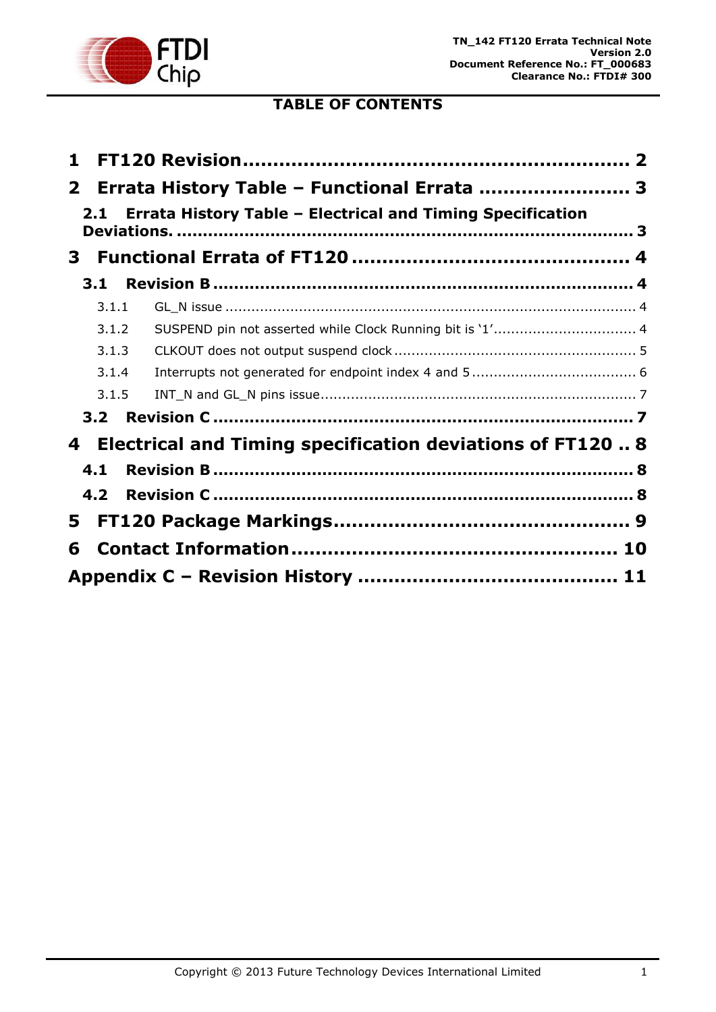

# **TABLE OF CONTENTS**

| 1              |                                                                  |  |
|----------------|------------------------------------------------------------------|--|
| $\mathbf{2}^-$ | Errata History Table - Functional Errata  3                      |  |
| 2.1            | Errata History Table - Electrical and Timing Specification       |  |
| 3              |                                                                  |  |
| 3.1            |                                                                  |  |
| 3.1.1          |                                                                  |  |
| 3.1.2          | SUSPEND pin not asserted while Clock Running bit is '1' 4        |  |
| 3.1.3          |                                                                  |  |
| 3.1.4          |                                                                  |  |
| 3.1.5          |                                                                  |  |
| 3.2            |                                                                  |  |
| 4              | <b>Electrical and Timing specification deviations of FT120 8</b> |  |
| 4.1            |                                                                  |  |
| 4.2            |                                                                  |  |
| 5.             |                                                                  |  |
| 6              |                                                                  |  |
|                |                                                                  |  |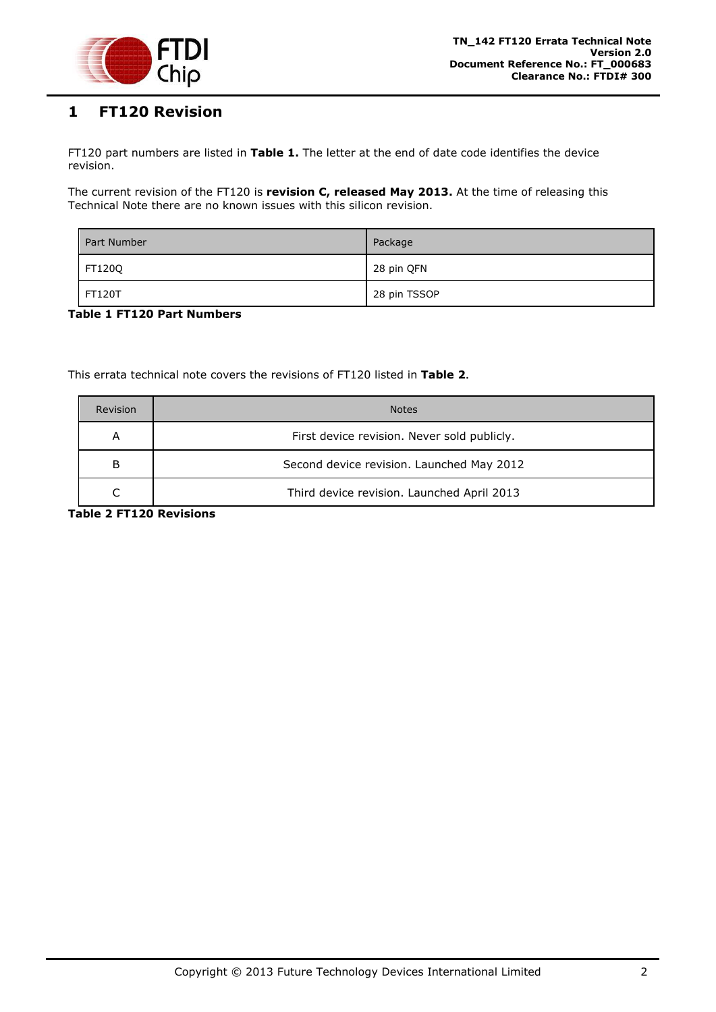

# <span id="page-2-0"></span>**1 FT120 Revision**

FT120 part numbers are listed in **[Table 1.](#page-2-1)** The letter at the end of date code identifies the device revision.

The current revision of the FT120 is **revision C, released May 2013.** At the time of releasing this Technical Note there are no known issues with this silicon revision.

| Part Number   | Package      |
|---------------|--------------|
| FT120Q        | 28 pin QFN   |
| <b>FT120T</b> | 28 pin TSSOP |

#### <span id="page-2-1"></span>**Table 1 FT120 Part Numbers**

This errata technical note covers the revisions of FT120 listed in **[Table 2](#page-2-2)**.

| <b>Revision</b>                                  | <b>Notes</b>                               |  |
|--------------------------------------------------|--------------------------------------------|--|
| First device revision. Never sold publicly.<br>A |                                            |  |
| B                                                | Second device revision. Launched May 2012  |  |
|                                                  | Third device revision. Launched April 2013 |  |

<span id="page-2-2"></span>**Table 2 FT120 Revisions**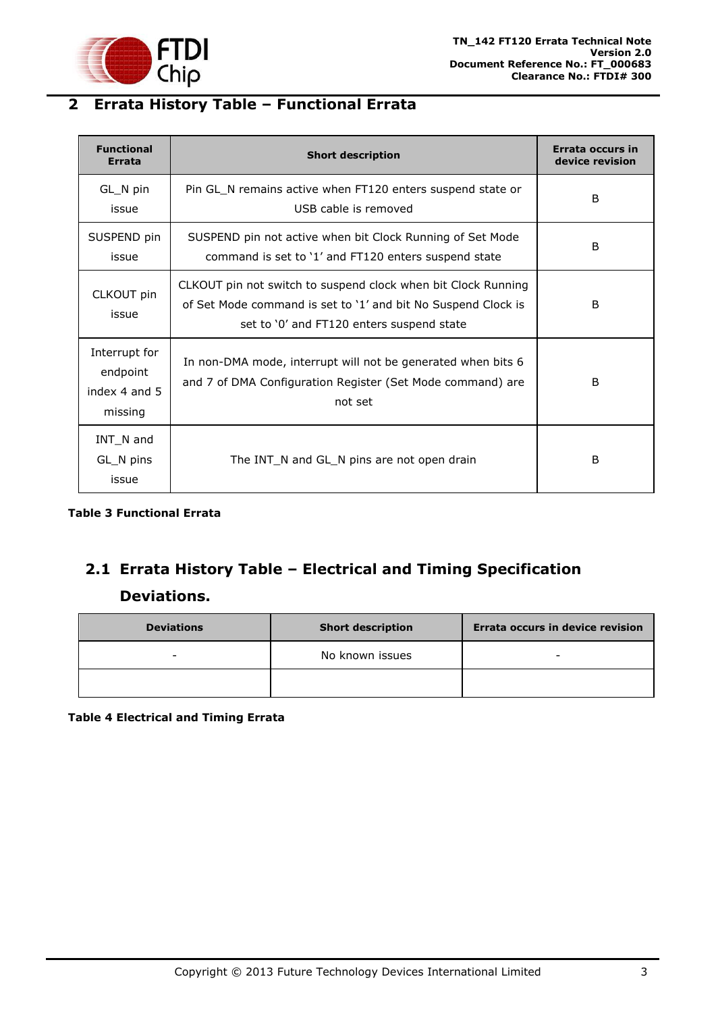

# <span id="page-3-0"></span>**2 Errata History Table – Functional Errata**

| <b>Functional</b><br><b>Errata</b>                    | <b>Short description</b>                                                                                                                                                    | Errata occurs in<br>device revision |
|-------------------------------------------------------|-----------------------------------------------------------------------------------------------------------------------------------------------------------------------------|-------------------------------------|
| GL_N pin<br>issue                                     | Pin GL_N remains active when FT120 enters suspend state or<br>USB cable is removed                                                                                          | B                                   |
| SUSPEND pin<br>issue                                  | SUSPEND pin not active when bit Clock Running of Set Mode<br>command is set to '1' and FT120 enters suspend state                                                           | B                                   |
| CLKOUT pin<br>issue                                   | CLKOUT pin not switch to suspend clock when bit Clock Running<br>of Set Mode command is set to '1' and bit No Suspend Clock is<br>set to '0' and FT120 enters suspend state | B                                   |
| Interrupt for<br>endpoint<br>index 4 and 5<br>missing | In non-DMA mode, interrupt will not be generated when bits 6<br>and 7 of DMA Configuration Register (Set Mode command) are<br>not set                                       | B                                   |
| INT_N and<br>GL_N pins<br>issue                       | The INT_N and GL_N pins are not open drain                                                                                                                                  | B                                   |

**Table 3 Functional Errata**

# <span id="page-3-1"></span>**2.1 Errata History Table – Electrical and Timing Specification Deviations.**

| <b>Deviations</b> | <b>Short description</b> | Errata occurs in device revision |
|-------------------|--------------------------|----------------------------------|
| -                 | No known issues          | -                                |
|                   |                          |                                  |

**Table 4 Electrical and Timing Errata**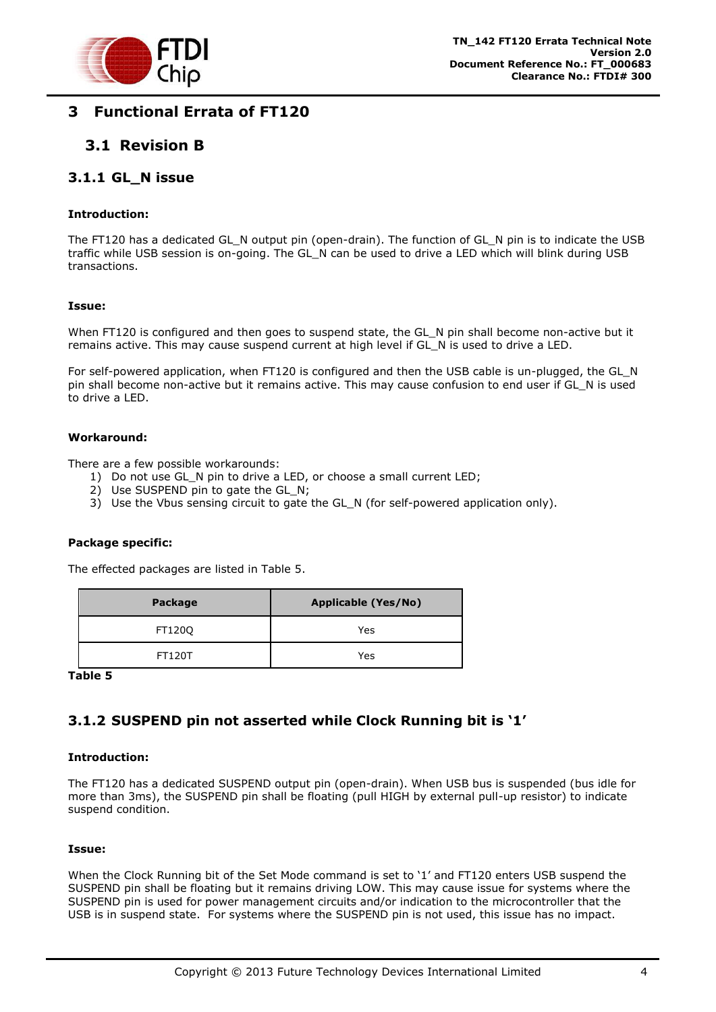

# <span id="page-4-0"></span>**3 Functional Errata of FT120**

### <span id="page-4-1"></span>**3.1 Revision B**

### <span id="page-4-2"></span>**3.1.1 GL\_N issue**

#### **Introduction:**

The FT120 has a dedicated GL\_N output pin (open-drain). The function of GL\_N pin is to indicate the USB traffic while USB session is on-going. The GL\_N can be used to drive a LED which will blink during USB transactions.

#### **Issue:**

When FT120 is configured and then goes to suspend state, the GL\_N pin shall become non-active but it remains active. This may cause suspend current at high level if GL\_N is used to drive a LED.

For self-powered application, when FT120 is configured and then the USB cable is un-plugged, the GL\_N pin shall become non-active but it remains active. This may cause confusion to end user if GL\_N is used to drive a LED.

#### **Workaround:**

There are a few possible workarounds:

- 1) Do not use GL\_N pin to drive a LED, or choose a small current LED;
- 2) Use SUSPEND pin to gate the GL N;
- 3) Use the Vbus sensing circuit to gate the GL\_N (for self-powered application only).

#### **Package specific:**

The effected packages are listed in Table 5.

| Package       | <b>Applicable (Yes/No)</b> |
|---------------|----------------------------|
| FT120Q        | Yes                        |
| <b>FT120T</b> | Yes                        |

**Table 5**

### <span id="page-4-3"></span>**3.1.2 SUSPEND pin not asserted while Clock Running bit is '1'**

#### **Introduction:**

The FT120 has a dedicated SUSPEND output pin (open-drain). When USB bus is suspended (bus idle for more than 3ms), the SUSPEND pin shall be floating (pull HIGH by external pull-up resistor) to indicate suspend condition.

#### **Issue:**

When the Clock Running bit of the Set Mode command is set to '1' and FT120 enters USB suspend the SUSPEND pin shall be floating but it remains driving LOW. This may cause issue for systems where the SUSPEND pin is used for power management circuits and/or indication to the microcontroller that the USB is in suspend state. For systems where the SUSPEND pin is not used, this issue has no impact.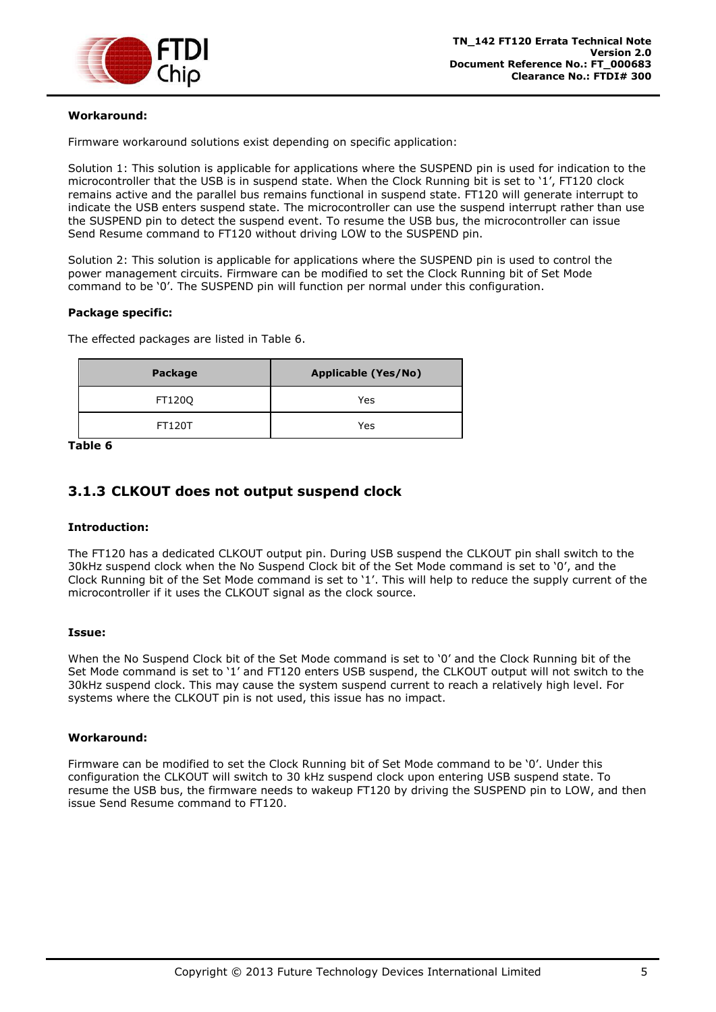

#### **Workaround:**

Firmware workaround solutions exist depending on specific application:

Solution 1: This solution is applicable for applications where the SUSPEND pin is used for indication to the microcontroller that the USB is in suspend state. When the Clock Running bit is set to '1', FT120 clock remains active and the parallel bus remains functional in suspend state. FT120 will generate interrupt to indicate the USB enters suspend state. The microcontroller can use the suspend interrupt rather than use the SUSPEND pin to detect the suspend event. To resume the USB bus, the microcontroller can issue Send Resume command to FT120 without driving LOW to the SUSPEND pin.

Solution 2: This solution is applicable for applications where the SUSPEND pin is used to control the power management circuits. Firmware can be modified to set the Clock Running bit of Set Mode command to be '0'. The SUSPEND pin will function per normal under this configuration.

#### **Package specific:**

The effected packages are listed in [Table 6.](#page-5-1)

| Package       | <b>Applicable (Yes/No)</b> |
|---------------|----------------------------|
| FT120Q        | Yes                        |
| <b>FT120T</b> | Yes                        |

<span id="page-5-1"></span>**Table 6**

### <span id="page-5-0"></span>**3.1.3 CLKOUT does not output suspend clock**

#### **Introduction:**

The FT120 has a dedicated CLKOUT output pin. During USB suspend the CLKOUT pin shall switch to the 30kHz suspend clock when the No Suspend Clock bit of the Set Mode command is set to '0', and the Clock Running bit of the Set Mode command is set to '1'. This will help to reduce the supply current of the microcontroller if it uses the CLKOUT signal as the clock source.

#### **Issue:**

When the No Suspend Clock bit of the Set Mode command is set to '0' and the Clock Running bit of the Set Mode command is set to '1' and FT120 enters USB suspend, the CLKOUT output will not switch to the 30kHz suspend clock. This may cause the system suspend current to reach a relatively high level. For systems where the CLKOUT pin is not used, this issue has no impact.

#### **Workaround:**

Firmware can be modified to set the Clock Running bit of Set Mode command to be '0'. Under this configuration the CLKOUT will switch to 30 kHz suspend clock upon entering USB suspend state. To resume the USB bus, the firmware needs to wakeup FT120 by driving the SUSPEND pin to LOW, and then issue Send Resume command to FT120.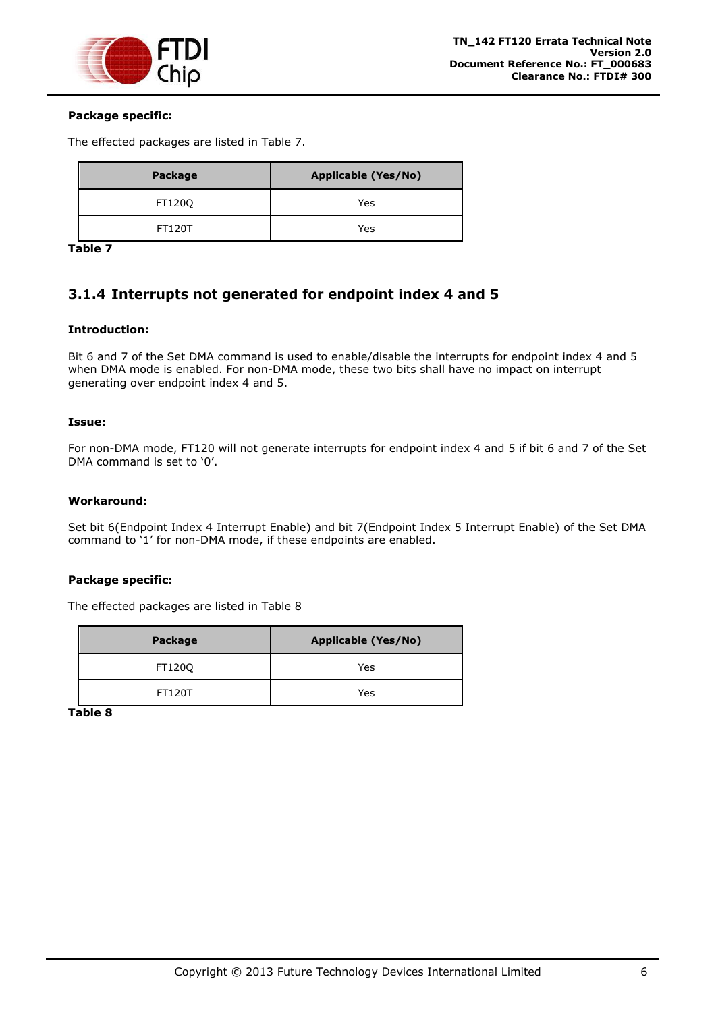

#### **Package specific:**

The effected packages are listed in [Table 7.](#page-6-1)

| Package       | <b>Applicable (Yes/No)</b> |
|---------------|----------------------------|
| FT120Q        | Yes                        |
| <b>FT120T</b> | Yes                        |

<span id="page-6-1"></span>**Table 7**

### <span id="page-6-0"></span>**3.1.4 Interrupts not generated for endpoint index 4 and 5**

#### **Introduction:**

Bit 6 and 7 of the Set DMA command is used to enable/disable the interrupts for endpoint index 4 and 5 when DMA mode is enabled. For non-DMA mode, these two bits shall have no impact on interrupt generating over endpoint index 4 and 5.

#### **Issue:**

For non-DMA mode, FT120 will not generate interrupts for endpoint index 4 and 5 if bit 6 and 7 of the Set DMA command is set to '0'.

#### **Workaround:**

Set bit 6(Endpoint Index 4 Interrupt Enable) and bit 7(Endpoint Index 5 Interrupt Enable) of the Set DMA command to '1' for non-DMA mode, if these endpoints are enabled.

#### **Package specific:**

The effected packages are listed in [Table 8](#page-6-2)

| Package | <b>Applicable (Yes/No)</b> |
|---------|----------------------------|
| FT120Q  | Yes                        |
| FT120T  | Yes                        |

<span id="page-6-2"></span>**Table 8**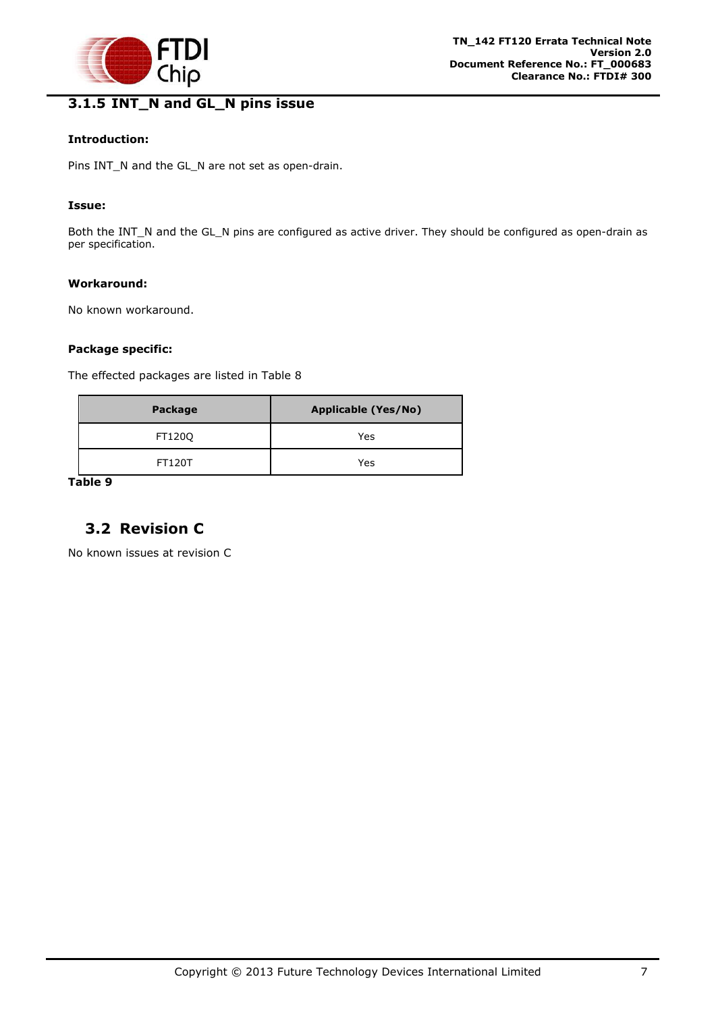

# <span id="page-7-0"></span>**3.1.5 INT\_N and GL\_N pins issue**

#### **Introduction:**

Pins INT\_N and the GL\_N are not set as open-drain.

#### **Issue:**

Both the INT\_N and the GL\_N pins are configured as active driver. They should be configured as open-drain as per specification.

#### **Workaround:**

No known workaround.

#### **Package specific:**

The effected packages are listed in [Table 8](#page-6-2)

| Package       | <b>Applicable (Yes/No)</b> |
|---------------|----------------------------|
| FT120Q        | Yes                        |
| <b>FT120T</b> | Yes                        |

**Table 9**

### <span id="page-7-1"></span>**3.2 Revision C**

No known issues at revision C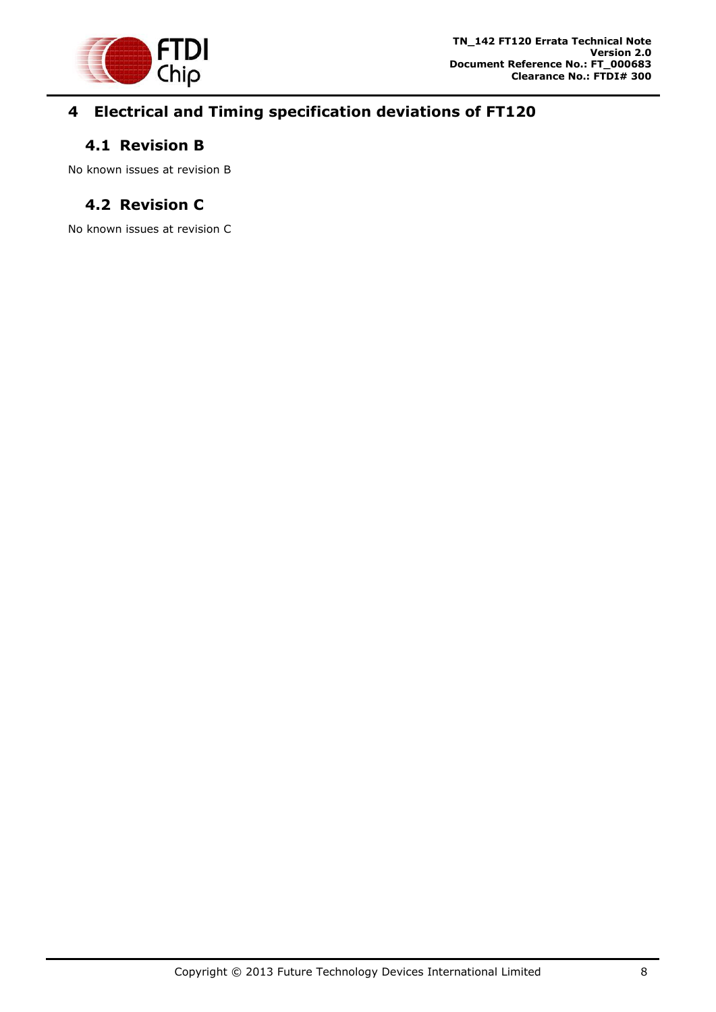

# <span id="page-8-0"></span>**4 Electrical and Timing specification deviations of FT120**

### <span id="page-8-1"></span>**4.1 Revision B**

No known issues at revision B

# <span id="page-8-2"></span>**4.2 Revision C**

No known issues at revision C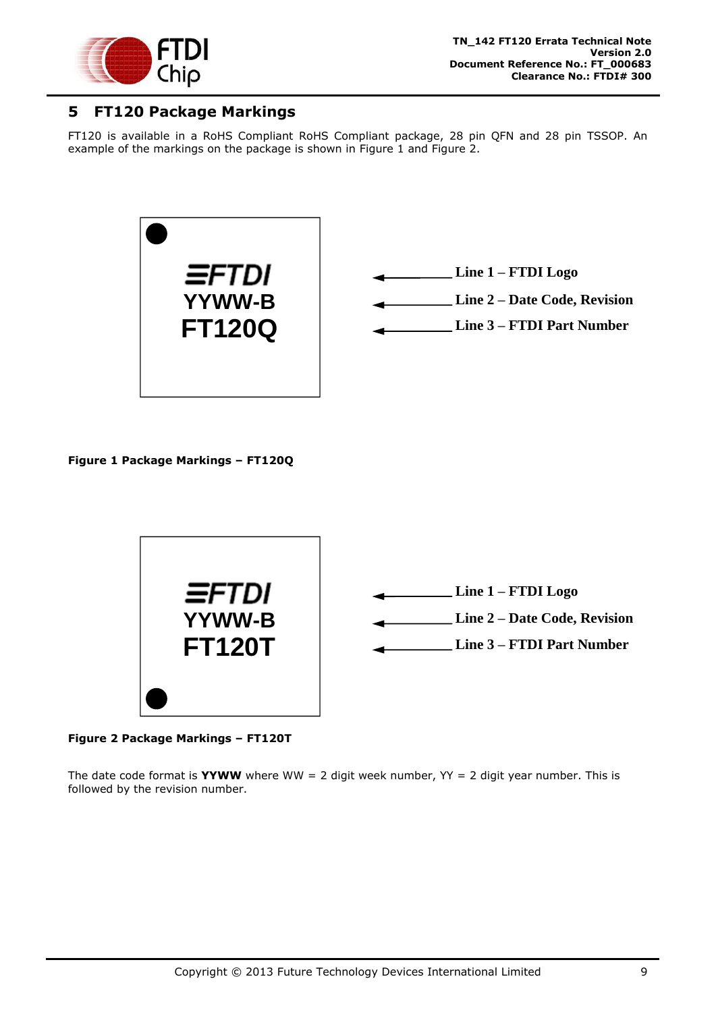

### <span id="page-9-0"></span>**5 FT120 Package Markings**

FT120 is available in a RoHS Compliant RoHS Compliant package, 28 pin QFN and 28 pin TSSOP. An example of the markings on the package is shown in [Figure 1](#page-9-1) and [Figure 2.](#page-9-2)





**Line 3 – FTDI Part Number**

<span id="page-9-1"></span>**Figure 1 Package Markings – FT120Q**



<span id="page-9-2"></span>**Figure 2 Package Markings – FT120T**

The date code format is **YYWW** where WW = 2 digit week number,  $YY = 2$  digit year number. This is followed by the revision number.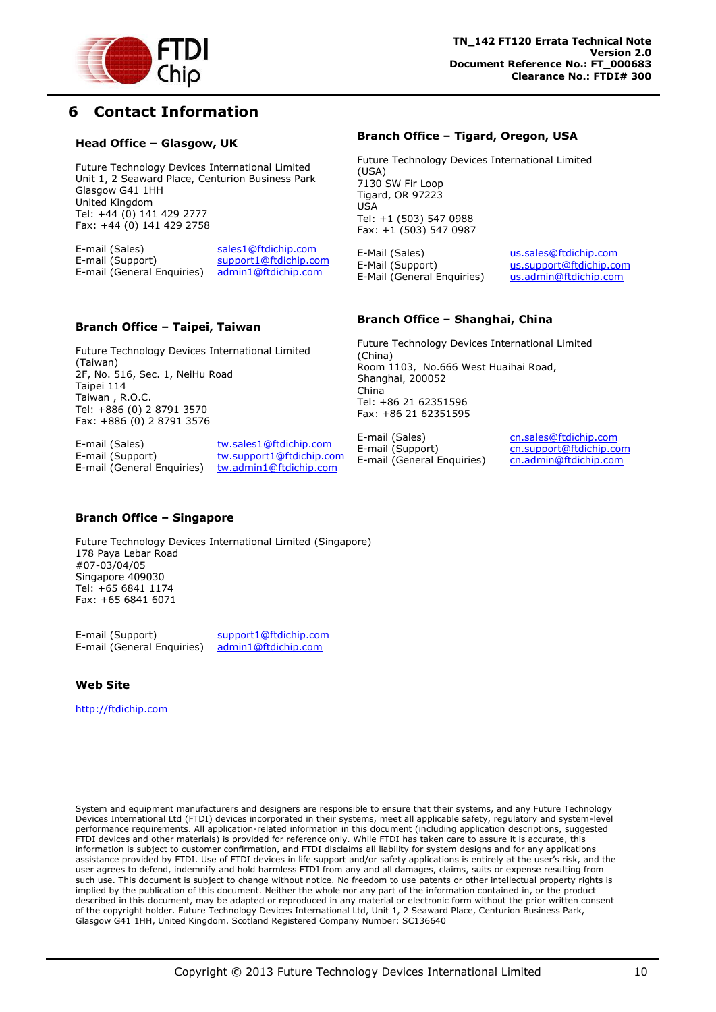

# <span id="page-10-0"></span>**6 Contact Information**

#### **Head Office – Glasgow, UK**

Future Technology Devices International Limited Unit 1, 2 Seaward Place, Centurion Business Park Glasgow G41 1HH United Kingdom Tel: +44 (0) 141 429 2777 Fax: +44 (0) 141 429 2758

E-mail (Sales) sales1@ftdichip.com<br>E-mail (Support) support1@ftdichip.co support1@ftdichip.com E-mail (General Enquiries) admin1@ftdichip.com

#### **Branch Office – Taipei, Taiwan**

Future Technology Devices International Limited (Taiwan) 2F, No. 516, Sec. 1, NeiHu Road Taipei 114 Taiwan , R.O.C. Tel: +886 (0) 2 8791 3570 Fax: +886 (0) 2 8791 3576

E-mail (Sales) tw.sales1@ftdichip.com E-mail (General Enquiries) tw.admin1@ftdichip.com

E-mail (Support) tw.support1@ftdichip.com

#### **Branch Office – Tigard, Oregon, USA**

Future Technology Devices International Limited (USA) 7130 SW Fir Loop Tigard, OR 97223 USA Tel: +1 (503) 547 0988 Fax: +1 (503) 547 0987

E-Mail (Sales) us.sales@ftdichip.com E-Mail (Support) us.support@ftdichip.com E-Mail (General Enquiries) us.admin@ftdichip.com

#### **Branch Office – Shanghai, China**

Future Technology Devices International Limited (China) Room 1103, No.666 West Huaihai Road, Shanghai, 200052 China Tel: +86 21 62351596 Fax: +86 21 62351595

E-mail (Sales) cn.sales@ftdichip.com E-mail (Support) cn.support@ftdichip.com E-mail (General Enquiries) cn.admin@ftdichip.com

#### **Branch Office – Singapore**

Future Technology Devices International Limited (Singapore) 178 Paya Lebar Road #07-03/04/05 Singapore 409030 Tel: +65 6841 1174 Fax: +65 6841 6071

E-mail (Support) support1@ftdichip.com E-mail (General Enquiries) admin1@ftdichip.com

#### **Web Site**

http://ftdichip.com

System and equipment manufacturers and designers are responsible to ensure that their systems, and any Future Technology Devices International Ltd (FTDI) devices incorporated in their systems, meet all applicable safety, regulatory and system-level performance requirements. All application-related information in this document (including application descriptions, suggested FTDI devices and other materials) is provided for reference only. While FTDI has taken care to assure it is accurate, this information is subject to customer confirmation, and FTDI disclaims all liability for system designs and for any applications assistance provided by FTDI. Use of FTDI devices in life support and/or safety applications is entirely at the user's risk, and the user agrees to defend, indemnify and hold harmless FTDI from any and all damages, claims, suits or expense resulting from such use. This document is subject to change without notice. No freedom to use patents or other intellectual property rights is implied by the publication of this document. Neither the whole nor any part of the information contained in, or the product described in this document, may be adapted or reproduced in any material or electronic form without the prior written consent of the copyright holder. Future Technology Devices International Ltd, Unit 1, 2 Seaward Place, Centurion Business Park, Glasgow G41 1HH, United Kingdom. Scotland Registered Company Number: SC136640